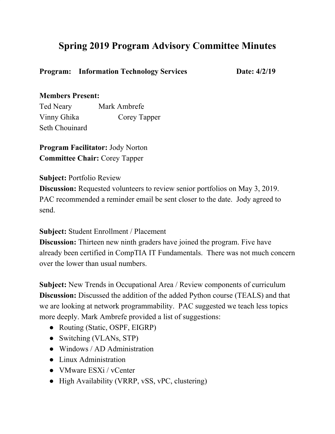## **Spring 2019 Program Advisory Committee Minutes**

**Program:** Information Technology Services Date:  $4/2/19$ 

## **Members Present:**

Ted Neary Mark Ambrefe Vinny Ghika Corey Tapper Seth Chouinard

**Program Facilitator:** Jody Norton **Committee Chair:** Corey Tapper

**Subject:** Portfolio Review

**Discussion:** Requested volunteers to review senior portfolios on May 3, 2019. PAC recommended a reminder email be sent closer to the date. Jody agreed to send.

**Subject:** Student Enrollment / Placement

**Discussion:** Thirteen new ninth graders have joined the program. Five have already been certified in CompTIA IT Fundamentals. There was not much concern over the lower than usual numbers.

**Subject:** New Trends in Occupational Area / Review components of curriculum **Discussion:** Discussed the addition of the added Python course (TEALS) and that we are looking at network programmability. PAC suggested we teach less topics more deeply. Mark Ambrefe provided a list of suggestions:

- Routing (Static, OSPF, EIGRP)
- Switching (VLANs, STP)
- Windows / AD Administration
- Linux Administration
- VMware ESXi / vCenter
- High Availability (VRRP, vSS, vPC, clustering)